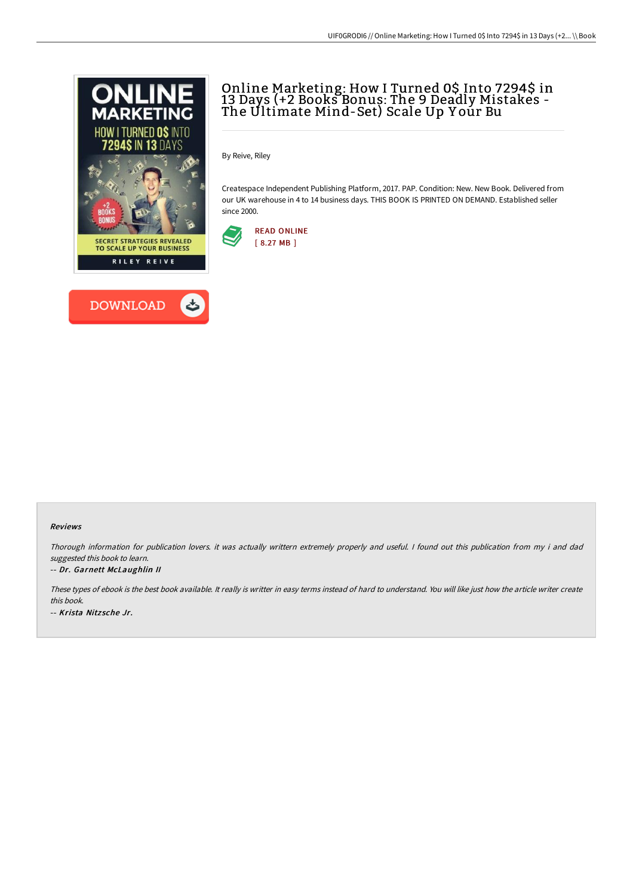



# Online Marketing: How I Turned 0\$ Into 7294\$ in 13 Days (+2 Books Bonus: The 9 Deadly Mistakes - The Ultimate Mind-Set) Scale Up Yoúr Bu

By Reive, Riley

Createspace Independent Publishing Platform, 2017. PAP. Condition: New. New Book. Delivered from our UK warehouse in 4 to 14 business days. THIS BOOK IS PRINTED ON DEMAND. Established seller since 2000.



### Reviews

Thorough information for publication lovers. it was actually writtern extremely properly and useful. <sup>I</sup> found out this publication from my i and dad suggested this book to learn.

### -- Dr. Garnett McLaughlin II

These types of ebook is the best book available. It really is writter in easy terms instead of hard to understand. You will like just how the article writer create this book. -- Krista Nitz sche Jr.